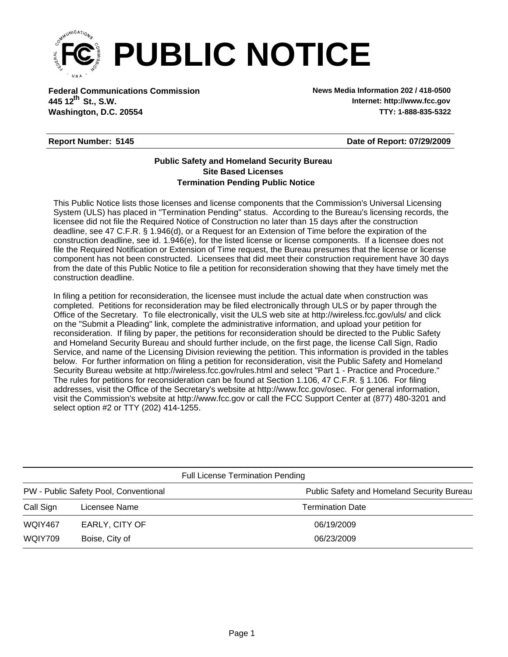

**Federal Communications Commission News Media Information 202 / 418-0500 Washington, D.C. 20554 TTY: 1-888-835-5322 445 12<sup>th</sup> St., S.W.** 

**Internet: http://www.fcc.gov**

## **Report Number: 5145**

**Date of Report: 07/29/2009**

## **Termination Pending Public Notice Site Based Licenses Public Safety and Homeland Security Bureau**

This Public Notice lists those licenses and license components that the Commission's Universal Licensing System (ULS) has placed in "Termination Pending" status. According to the Bureau's licensing records, the licensee did not file the Required Notice of Construction no later than 15 days after the construction deadline, see 47 C.F.R. § 1.946(d), or a Request for an Extension of Time before the expiration of the construction deadline, see id. 1.946(e), for the listed license or license components. If a licensee does not file the Required Notification or Extension of Time request, the Bureau presumes that the license or license component has not been constructed. Licensees that did meet their construction requirement have 30 days from the date of this Public Notice to file a petition for reconsideration showing that they have timely met the construction deadline.

In filing a petition for reconsideration, the licensee must include the actual date when construction was completed. Petitions for reconsideration may be filed electronically through ULS or by paper through the Office of the Secretary. To file electronically, visit the ULS web site at http://wireless.fcc.gov/uls/ and click on the "Submit a Pleading" link, complete the administrative information, and upload your petition for reconsideration. If filing by paper, the petitions for reconsideration should be directed to the Public Safety and Homeland Security Bureau and should further include, on the first page, the license Call Sign, Radio Service, and name of the Licensing Division reviewing the petition. This information is provided in the tables below. For further information on filing a petition for reconsideration, visit the Public Safety and Homeland Security Bureau website at http://wireless.fcc.gov/rules.html and select "Part 1 - Practice and Procedure." The rules for petitions for reconsideration can be found at Section 1.106, 47 C.F.R. § 1.106. For filing addresses, visit the Office of the Secretary's website at http://www.fcc.gov/osec. For general information, visit the Commission's website at http://www.fcc.gov or call the FCC Support Center at (877) 480-3201 and select option #2 or TTY (202) 414-1255.

| <b>Full License Termination Pending</b> |                |                                            |  |  |  |  |
|-----------------------------------------|----------------|--------------------------------------------|--|--|--|--|
| PW - Public Safety Pool, Conventional   |                | Public Safety and Homeland Security Bureau |  |  |  |  |
| Call Sign                               | Licensee Name  | <b>Termination Date</b>                    |  |  |  |  |
| WQIY467                                 | EARLY, CITY OF | 06/19/2009                                 |  |  |  |  |
| WQIY709                                 | Boise, City of | 06/23/2009                                 |  |  |  |  |